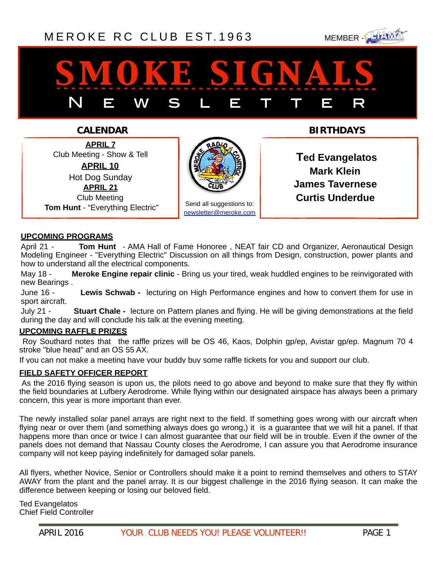## [MEROKE RC CLUB](http://www.meroke.com) EST. 1963 MEMBER-



# *smoke signals* N E W S L E T T E R

### **CALENDAR**

**APRIL 7** Club Meeting - Show & Tell **APRIL 10** Hot Dog Sunday **APRIL 21** Club Meeting  **Tom Hunt** - "Everything Electric"



Send all suggestions to: [newsletter@meroke.com](mailto:newsletter@meroke.com) **BIRTHDAYS**

 **Ted Evangelatos Mark Klein James Tavernese Curtis Underdue**

#### **UPCOMING PROGRAMS**

April 21 - **Tom Hunt** - AMA Hall of Fame Honoree , NEAT fair CD and Organizer, Aeronautical Design Modeling Engineer - "Everything Electric" Discussion on all things from Design, construction, power plants and how to understand all the electrical components.

May 18 - **Meroke Engine repair clinic** - Bring us your tired, weak huddled engines to be reinvigorated with new Bearings .

June 16 - **Lewis Schwab -** lecturing on High Performance engines and how to convert them for use in sport aircraft.

July 21 - **Stuart Chale -** lecture on Pattern planes and flying. He will be giving demonstrations at the field during the day and will conclude his talk at the evening meeting.

#### **UPCOMING RAFFLE PRIZES**

 Roy Southard notes that the raffle prizes will be OS 46, Kaos, Dolphin gp/ep, Avistar gp/ep. Magnum 70 4 stroke "blue head" and an OS 55 AX.

If you can not make a meeting have your buddy buy some raffle tickets for you and support our club.

#### **FIELD SAFETY OFFICER REPORT**

 As the 2016 flying season is upon us, the pilots need to go above and beyond to make sure that they fly within the field boundaries at Lufbery Aerodrome. While flying within our designated airspace has always been a primary concern, this year is more important than ever.

The newly installed solar panel arrays are right next to the field. If something goes wrong with our aircraft when flying near or over them (and something always does go wrong,) it is a guarantee that we will hit a panel. If that happens more than once or twice I can almost guarantee that our field will be in trouble. Even if the owner of the panels does not demand that Nassau County closes the Aerodrome, I can assure you that Aerodrome insurance company will not keep paying indefinitely for damaged solar panels.

All flyers, whether Novice, Senior or Controllers should make it a point to remind themselves and others to STAY AWAY from the plant and the panel array. It is our biggest challenge in the 2016 flying season. It can make the difference between keeping or losing our beloved field.

Ted Evangelatos Chief Field Controller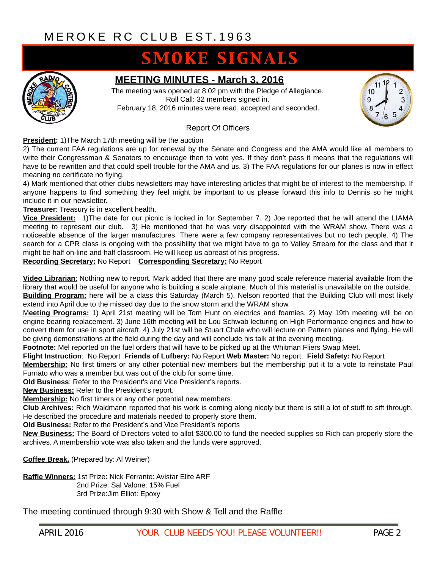## **SMOKE SIGNALS**



### **MEETING MINUTES - March 3, 2016**

The meeting was opened at 8:02 pm with the Pledge of Allegiance. Roll Call: 32 members signed in. February 18, 2016 minutes were read, accepted and seconded.



#### Report Of Officers

**President:** 1)The March 17th meeting will be the auction

2) The current FAA regulations are up for renewal by the Senate and Congress and the AMA would like all members to write their Congressman & Senators to encourage then to vote yes. If they don't pass it means that the regulations will have to be rewritten and that could spell trouble for the AMA and us. 3) The FAA regulations for our planes is now in effect meaning no certificate no flying.

4) Mark mentioned that other clubs newsletters may have interesting articles that might be of interest to the membership. If anyone happens to find something they feel might be important to us please forward this info to Dennis so he might include it in our newsletter.

**Treasurer**: Treasury is in excellent health.

**Vice President:** 1)The date for our picnic is locked in for September 7. 2) Joe reported that he will attend the LIAMA meeting to represent our club. 3) He mentioned that he was very disappointed with the WRAM show. There was a noticeable absence of the larger manufactures. There were a few company representatives but no tech people. 4) The search for a CPR class is ongoing with the possibility that we might have to go to Valley Stream for the class and that it might be half on-line and half classroom. He will keep us abreast of his progress.

**Recording Secretary:** No Report **Corresponding Secretary:** No Report

**Video Librarian**: Nothing new to report. Mark added that there are many good scale reference material available from the library that would be useful for anyone who is building a scale airplane. Much of this material is unavailable on the outside. **Building Program:** here will be a class this Saturday (March 5). Nelson reported that the Building Club will most likely

extend into April due to the missed day due to the snow storm and the WRAM show.

M**eeting Programs:** 1) April 21st meeting will be Tom Hunt on electrics and foamies. 2) May 19th meeting will be on engine bearing replacement. 3) June 16th meeting will be Lou Schwab lecturing on High Performance engines and how to convert them for use in sport aircraft. 4) July 21st will be Stuart Chale who will lecture on Pattern planes and flying. He will be giving demonstrations at the field during the day and will conclude his talk at the evening meeting.

**Footnote:** Mel reported on the fuel orders that will have to be picked up at the Whitman Fliers Swap Meet.

#### **Flight Instruction**: No Report **Friends of Lufbery:** No Report **Web Master:** No report. **Field Safety:** No Report

**Membership:** No first timers or any other potential new members but the membership put it to a vote to reinstate Paul Furnato who was a member but was out of the club for some time.

**Old Business**: Refer to the President's and Vice President's reports.

**New Business:** Refer to the President's report.

**Membership:** No first timers or any other potential new members.

**Club Archives:** Rich Waldmann reported that his work is coming along nicely but there is still a lot of stuff to sift through. He described the procedure and materials needed to properly store them.

**Old Business:** Refer to the President's and Vice President's reports

**New Business:** The Board of Directors voted to allot \$300.00 to fund the needed supplies so Rich can properly store the archives. A membership vote was also taken and the funds were approved.

**Coffee Break.** (Prepared by: Al Weiner)

**Raffle Winners:** 1st Prize: Nick Ferrante: Avistar Elite ARF 2nd Prize: Sal Valone: 15% Fuel 3rd Prize:Jim Elliot: Epoxy

The meeting continued through 9:30 with Show & Tell and the Raffle

i<br>I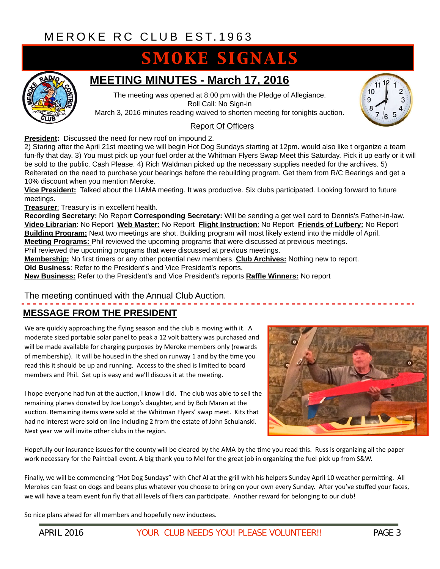## **SMOKE SIGNALS**



## **MEETING MINUTES - March 17, 2016**

The meeting was opened at 8:00 pm with the Pledge of Allegiance. Roll Call: No Sign-in

March 3, 2016 minutes reading waived to shorten meeting for tonights auction.

#### Report Of Officers

**President:** Discussed the need for new roof on impound 2.

2) Staring after the April 21st meeting we will begin Hot Dog Sundays starting at 12pm. would also like t organize a team fun-fly that day. 3) You must pick up your fuel order at the Whitman Flyers Swap Meet this Saturday. Pick it up early or it will be sold to the public. Cash Please. 4) Rich Waldman picked up the necessary supplies needed for the archives. 5) Reiterated on the need to purchase your bearings before the rebuilding program. Get them from R/C Bearings and get a 10% discount when you mention Meroke.

**Vice President:** Talked about the LIAMA meeting. It was productive. Six clubs participated. Looking forward to future meetings.

**Treasurer**: Treasury is in excellent health.

**Recording Secretary:** No Report **Corresponding Secretary:** Will be sending a get well card to Dennis's Father-in-law. **Video Librarian**: No Report **Web Master:** No Report **Flight Instruction**: No Report **Friends of Lufbery:** No Report **Building Program:** Next two meetings are shot. Building program will most likely extend into the middle of April. **Meeting Programs:** Phil reviewed the upcoming programs that were discussed at previous meetings. Phil reviewed the upcoming programs that were discussed at previous meetings.

**Membership:** No first timers or any other potential new members. **Club Archives:** Nothing new to report.

**Old Business**: Refer to the President's and Vice President's reports.

**New Business:** Refer to the President's and Vice President's reports.**Raffle Winners:** No report

#### The meeting continued with the Annual Club Auction.

### **MESSAGE FROM THE PRESIDENT**

We are quickly approaching the flying season and the club is moving with it. A moderate sized portable solar panel to peak a 12 volt battery was purchased and will be made available for charging purposes by Meroke members only (rewards of membership). It will be housed in the shed on runway 1 and by the time you read this it should be up and running. Access to the shed is limited to board members and Phil. Set up is easy and we'll discuss it at the meeting.

I hope everyone had fun at the auction, I know I did. The club was able to sell the remaining planes donated by Joe Longo's daughter, and by Bob Maran at the auction. Remaining items were sold at the Whitman Flyers' swap meet. Kits that had no interest were sold on line including 2 from the estate of John Schulanski. Next year we will invite other clubs in the region.



Hopefully our insurance issues for the county will be cleared by the AMA by the time you read this. Russ is organizing all the paper work necessary for the Paintball event. A big thank you to Mel for the great job in organizing the fuel pick up from S&W.

Finally, we will be commencing "Hot Dog Sundays" with Chef AI at the grill with his helpers Sunday April 10 weather permitting. All Merokes can feast on dogs and beans plus whatever you choose to bring on your own every Sunday. After you've stuffed your faces, we will have a team event fun fly that all levels of fliers can participate. Another reward for belonging to our club!

So nice plans ahead for all members and hopefully new inductees.

i<br>I

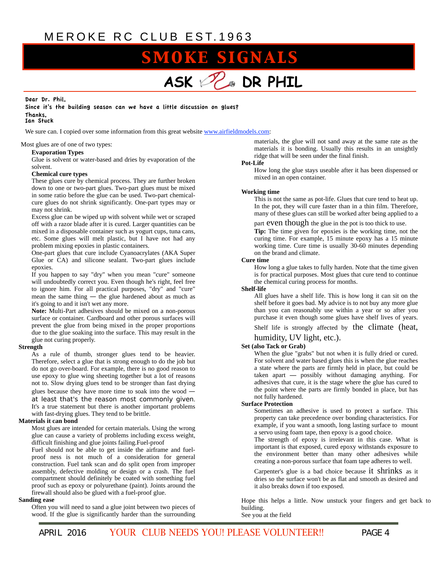## **SMOKE SIGNALS**



#### Dear Dr. Phil, Since it's the building season can we have a little discussion on glues? Thanks, Ian Stuck

We sure can. I copied over some information from this great website [www.airfieldmodels.com:](http://www.airfieldmodels.com/)

Most glues are of one of two types:

#### **Evaporation Types**

Glue is solvent or water-based and dries by evaporation of the solvent.

#### **Chemical cure types**

These glues cure by chemical process. They are further broken down to one or two-part glues. Two-part glues must be mixed in some ratio before the glue can be used. Two-part chemicalcure glues do not shrink significantly. One-part types may or may not shrink.

Excess glue can be wiped up with solvent while wet or scraped off with a razor blade after it is cured. Larger quantities can be mixed in a disposable container such as yogurt cups, tuna cans, etc. Some glues will melt plastic, but I have not had any problem mixing epoxies in plastic containers.

One-part glues that cure include Cyanoacrylates (AKA Super Glue or CA) and silicone sealant. Two-part glues include epoxies.

If you happen to say "dry" when you mean "cure" someone will undoubtedly correct you. Even though he's right, feel free to ignore him. For all practical purposes, "dry" and "cure" mean the same thing — the glue hardened about as much as it's going to and it isn't wet any more.

**Note:** Multi-Part adhesives should be mixed on a non-porous surface or container. Cardboard and other porous surfaces will prevent the glue from being mixed in the proper proportions due to the glue soaking into the surface. This may result in the glue not curing properly.

#### **Strength**

As a rule of thumb, stronger glues tend to be heavier. Therefore, select a glue that is strong enough to do the job but do not go over-board. For example, there is no good reason to use epoxy to glue wing sheeting together but a lot of reasons not to. Slow drying glues tend to be stronger than fast drying glues because they have more time to soak into the wood at least that's the reason most commonly given. It's a true statement but there is another important problems with fast-drying glues. They tend to be brittle.

#### **Materials it can bond**

Most glues are intended for certain materials. Using the wrong glue can cause a variety of problems including excess weight, difficult finishing and glue joints failing.Fuel-proof

Fuel should not be able to get inside the airframe and fuelproof ness is not much of a consideration for general construction. Fuel tank scan and do split open from improper assembly, defective molding or design or a crash. The fuel compartment should definitely be coated with something fuel proof such as epoxy or polyurethane (paint). Joints around the firewall should also be glued with a fuel-proof glue.

#### **Sanding ease**

Often you will need to sand a glue joint between two pieces of wood. If the glue is significantly harder than the surrounding

materials, the glue will not sand away at the same rate as the materials it is bonding. Usually this results in an unsightly ridge that will be seen under the final finish.

#### **Pot-Life**

How long the glue stays useable after it has been dispensed or mixed in an open container.

#### **Working time**

This is not the same as pot-life. Glues that cure tend to heat up. In the pot, they will cure faster than in a thin film. Therefore, many of these glues can still be worked after being applied to a

#### part  $even though the glue in the pot is too thick to use.$

**Tip:** The time given for epoxies is the working time, not the curing time. For example, 15 minute epoxy has a 15 minute working time. Cure time is usually 30-60 minutes depending on the brand and climate.

#### **Cure time**

How long a glue takes to fully harden. Note that the time given is for practical purposes. Most glues that cure tend to continue the chemical curing process for months.

#### **Shelf-life**

All glues have a shelf life. This is how long it can sit on the shelf before it goes bad. My advice is to not buy any more glue than you can reasonably use within a year or so after you purchase it even though some glues have shelf lives of years.

Shelf life is strongly affected by the climate (heat,

#### humidity, UV light, etc.).

#### **Set (also Tack or Grab)**

When the glue "grabs" but not when it is fully dried or cured. For solvent and water based glues this is when the glue reaches a state where the parts are firmly held in place, but could be taken apart **—** possibly without damaging anything. For adhesives that cure, it is the stage where the glue has cured to the point where the parts are firmly bonded in place, but has not fully hardened.

#### **Surface Protection**

Sometimes an adhesive is used to protect a surface. This property can take precedence over bonding characteristics. For example, if you want a smooth, long lasting surface to mount a servo using foam tape, then epoxy is a good choice.

The strength of epoxy is irrelevant in this case. What is important is that exposed, cured epoxy withstands exposure to the environment better than many other adhesives while creating a non-porous surface that foam tape adheres to well.

Carpenter's glue is a bad choice because it shrinks as it dries so the surface won't be as flat and smooth as desired and it also breaks down if too exposed.

Hope this helps a little. Now unstuck your fingers and get back to building. See you at the field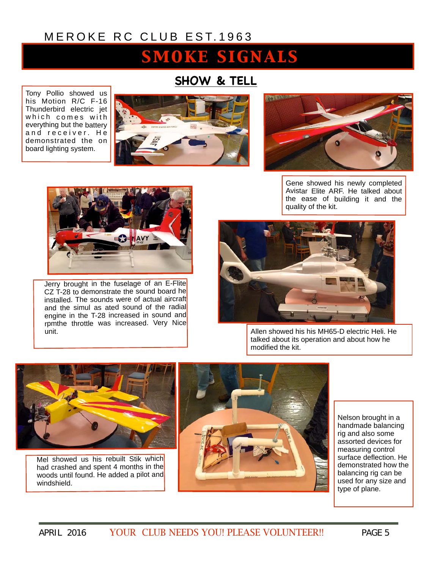## SMOKE SIGNALS

## **SHOW & TELL**

Tony Pollio showed us his Motion R/C F-16 Thunderbird electric jet which comes with everything but the battery and receiver. He demonstrated the on board lighting system.







Jerry brought in the fuselage of an E-Flite CZ  $T-28$  to demonstrate the sound board he installed. The sounds were of actual aircraft and the simul as ated sound of the radial engine in the T-28 increased in sound and rpmthe throttle was increased. Very Nice unit.

Gene showed his newly completed Avistar Elite ARF. He talked about the ease of building it and the quality of the kit.



Allen showed his his MH65-D electric Heli. He talked about its operation and about how he modified the kit.



Mel showed us his rebuilt Stik which had crashed and spent 4 months in the woods until found. He added a pilot and windshield.



Nelson brought in a handmade balancing rig and also some assorted devices for measuring control surface deflection. He demonstrated how the balancing rig can be used for any size and type of plane.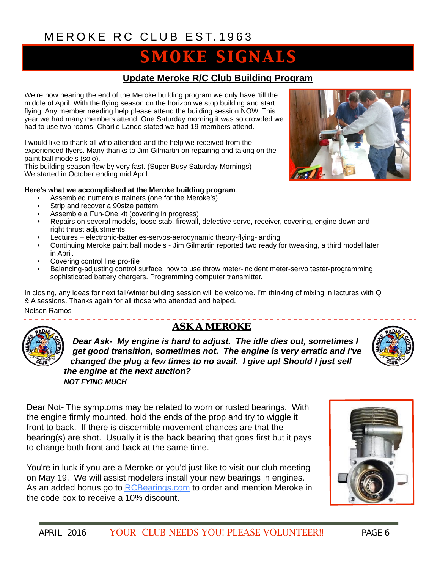## **SMOKE SIGNALS**

### **Update Meroke R/C Club Building Program**

We're now nearing the end of the Meroke building program we only have 'till the middle of April. With the flying season on the horizon we stop building and start flying. Any member needing help please attend the building session NOW. This year we had many members attend. One Saturday morning it was so crowded we had to use two rooms. Charlie Lando stated we had 19 members attend.

I would like to thank all who attended and the help we received from the experienced flyers. Many thanks to Jim Gilmartin on repairing and taking on the paint ball models (solo).

This building season flew by very fast. (Super Busy Saturday Mornings) We started in October ending mid April.

#### **Here's what we accomplished at the Meroke building program**.

----------------

- Assembled numerous trainers (one for the Meroke's)
- Strip and recover a 90size pattern
- Assemble a Fun-One kit (covering in progress)
- Repairs on several models, loose stab, firewall, defective servo, receiver, covering, engine down and right thrust adjustments.
- Lectures electronic-batteries-servos-aerodynamic theory-flying-landing
- Continuing Meroke paint ball models Jim Gilmartin reported two ready for tweaking, a third model later in April.
- Covering control line pro-file
- Balancing-adjusting control surface, how to use throw meter-incident meter-servo tester-programming sophisticated battery chargers. Programming computer transmitter.

In closing, any ideas for next fall/winter building session will be welcome. I'm thinking of mixing in lectures with Q & A sessions. Thanks again for all those who attended and helped.

Nelson Ramos

### *ASK A MEROKE*

*Dear Ask- My engine is hard to adjust. The idle dies out, sometimes I get good transition, sometimes not. The engine is very erratic and I've changed the plug a few times to no avail. I give up! Should I just sell the engine at the next auction? NOT FYING MUCH*

Dear Not- The symptoms may be related to worn or rusted bearings. With the engine firmly mounted, hold the ends of the prop and try to wiggle it front to back. If there is discernible movement chances are that the bearing(s) are shot. Usually it is the back bearing that goes first but it pays to change both front and back at the same time.

You're in luck if you are a Meroke or you'd just like to visit our club meeting on May 19. We will assist modelers install your new bearings in engines. As an added bonus go to [RCBearings.com](http://rcbearings.com/) to order and mention Meroke in the code box to receive a 10% discount.



. . . . . . . . . . . . . . . . . . .